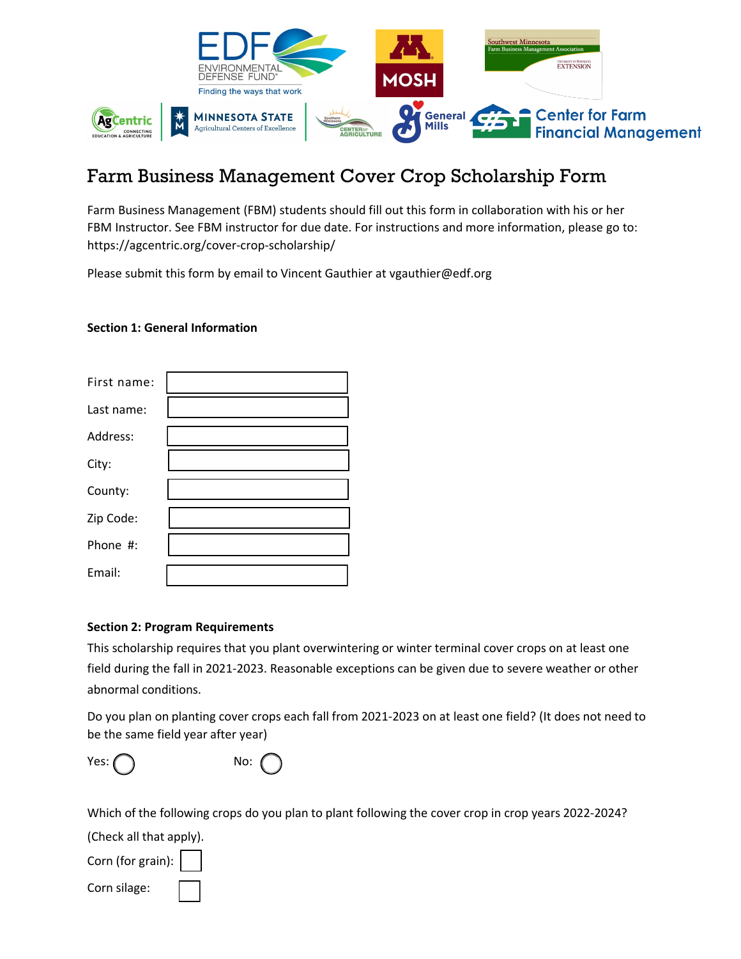

## Farm Business Management Cover Crop Scholarship Form

Farm Business Management (FBM) students should fill out this form in collaboration with his or her FBM Instructor. See FBM instructor for due date. For instructions and more information, please go to: <https://agcentric.org/cover-crop-scholarship/>

Please submit this form by email to Vincent Gauthier at vgauthier@edf.org

## **Section 1: General Information**

| First name: |  |
|-------------|--|
| Last name:  |  |
| Address:    |  |
| City:       |  |
| County:     |  |
| Zip Code:   |  |
| Phone #:    |  |
| Email:      |  |

## **Section 2: Program Requirements**

This scholarship requires that you plant overwintering or winter terminal cover crops on at least one field during the fall in 2021-2023. Reasonable exceptions can be given due to severe weather or other abnormal conditions.

Do you plan on planting cover crops each fall from 2021-2023 on at least one field? (It does not need to be the same field year after year)

|--|--|



Which of the following crops do you plan to plant following the cover crop in crop years 2022-2024?

(Check all that apply).

Corn (for grain):

Corn silage: